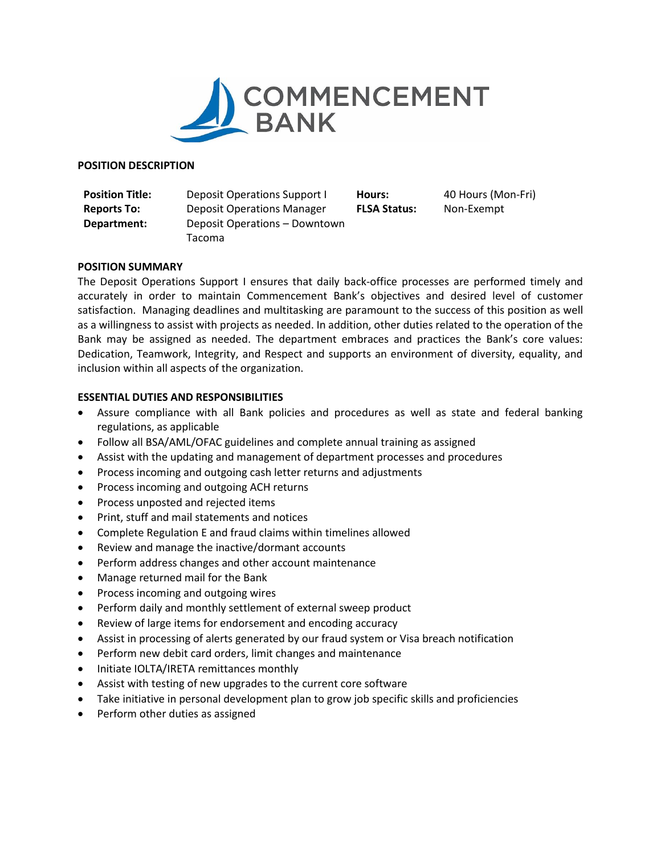

#### **POSITION DESCRIPTION**

| <b>Position Title:</b> | Deposit Operations Support I      | Hours:              | 40 Hours (Mon-Fri) |
|------------------------|-----------------------------------|---------------------|--------------------|
| <b>Reports To:</b>     | <b>Deposit Operations Manager</b> | <b>FLSA Status:</b> | Non-Exempt         |
| Department:            | Deposit Operations – Downtown     |                     |                    |
|                        | Tacoma                            |                     |                    |

## **POSITION SUMMARY**

The Deposit Operations Support I ensures that daily back-office processes are performed timely and accurately in order to maintain Commencement Bank's objectives and desired level of customer satisfaction. Managing deadlines and multitasking are paramount to the success of this position as well as a willingness to assist with projects as needed. In addition, other duties related to the operation of the Bank may be assigned as needed. The department embraces and practices the Bank's core values: Dedication, Teamwork, Integrity, and Respect and supports an environment of diversity, equality, and inclusion within all aspects of the organization.

## **ESSENTIAL DUTIES AND RESPONSIBILITIES**

- Assure compliance with all Bank policies and procedures as well as state and federal banking regulations, as applicable
- Follow all BSA/AML/OFAC guidelines and complete annual training as assigned
- Assist with the updating and management of department processes and procedures
- Process incoming and outgoing cash letter returns and adjustments
- Process incoming and outgoing ACH returns
- Process unposted and rejected items
- Print, stuff and mail statements and notices
- Complete Regulation E and fraud claims within timelines allowed
- Review and manage the inactive/dormant accounts
- Perform address changes and other account maintenance
- Manage returned mail for the Bank
- Process incoming and outgoing wires
- Perform daily and monthly settlement of external sweep product
- Review of large items for endorsement and encoding accuracy
- Assist in processing of alerts generated by our fraud system or Visa breach notification
- Perform new debit card orders, limit changes and maintenance
- Initiate IOLTA/IRETA remittances monthly
- Assist with testing of new upgrades to the current core software
- Take initiative in personal development plan to grow job specific skills and proficiencies
- Perform other duties as assigned